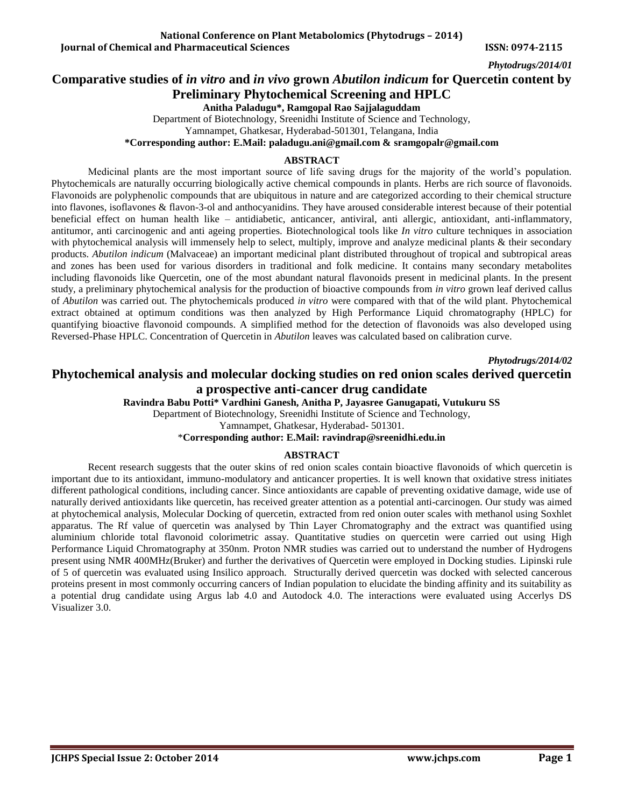# **Comparative studies of** *in vitro* **and** *in vivo* **grown** *Abutilon indicum* **for Quercetin content by Preliminary Phytochemical Screening and HPLC**

**Anitha Paladugu\*, Ramgopal Rao Sajjalaguddam**

Department of Biotechnology, Sreenidhi Institute of Science and Technology,

Yamnampet, Ghatkesar, Hyderabad-501301, Telangana, India

**\*Corresponding author: E.Mail: paladugu.ani@gmail.com & [sramgopalr@gmail.com](mailto:sramgopalr@gmail.com)**

### **ABSTRACT**

Medicinal plants are the most important source of life saving drugs for the majority of the world's population. Phytochemicals are naturally occurring biologically active chemical compounds in plants. Herbs are rich source of flavonoids. Flavonoids are polyphenolic compounds that are ubiquitous in nature and are categorized according to their chemical structure into flavones, isoflavones & flavon-3-ol and anthocyanidins. They have aroused considerable interest because of their potential beneficial effect on human health like – antidiabetic, anticancer, antiviral, anti allergic, antioxidant, anti-inflammatory, antitumor, anti carcinogenic and anti ageing properties. Biotechnological tools like *In vitro* culture techniques in association with phytochemical analysis will immensely help to select, multiply, improve and analyze medicinal plants & their secondary products. *Abutilon indicum* (Malvaceae) an important medicinal plant distributed throughout of tropical and subtropical areas and zones has been used for various disorders in traditional and folk medicine. It contains many secondary metabolites including flavonoids like Quercetin, one of the most abundant natural flavonoids present in medicinal plants. In the present study, a preliminary phytochemical analysis for the production of bioactive compounds from *in vitro* grown leaf derived callus of *Abutilon* was carried out. The phytochemicals produced *in vitro* were compared with that of the wild plant. Phytochemical extract obtained at optimum conditions was then analyzed by High Performance Liquid chromatography (HPLC) for quantifying bioactive flavonoid compounds. A simplified method for the detection of flavonoids was also developed using Reversed-Phase HPLC. Concentration of Quercetin in *Abutilon* leaves was calculated based on calibration curve.

*Phytodrugs/2014/02*

# **Phytochemical analysis and molecular docking studies on red onion scales derived quercetin a prospective anti-cancer drug candidate**

**Ravindra Babu Potti\* Vardhini Ganesh, Anitha P, Jayasree Ganugapati, Vutukuru SS**

Department of Biotechnology, Sreenidhi Institute of Science and Technology,

Yamnampet, Ghatkesar, Hyderabad- 501301.

\***Corresponding author: E.Mail: [ravindrap@sreenidhi.edu.in](mailto:ravindrap@sreenidhi.edu.in)**

### **ABSTRACT**

Recent research suggests that the outer skins of red onion scales contain bioactive flavonoids of which [quercetin](http://bit.ly/kRyOFo) is important due to its antioxidant, immuno-modulatory and anticancer properties. It is well known that oxidative stress initiates different pathological conditions, including cancer. Since antioxidants are capable of preventing oxidative damage, wide use of naturally derived antioxidants like quercetin, has received greater attention as a potential anti-carcinogen. Our study was aimed at phytochemical analysis, Molecular Docking of quercetin, extracted from red onion outer scales with methanol using Soxhlet apparatus. The Rf value of quercetin was analysed by Thin Layer Chromatography and the extract was quantified using aluminium chloride total flavonoid colorimetric assay. Quantitative studies on quercetin were carried out using High Performance Liquid Chromatography at 350nm. Proton NMR studies was carried out to understand the number of Hydrogens present using NMR 400MHz(Bruker) and further the derivatives of Quercetin were employed in Docking studies. Lipinski rule of 5 of quercetin was evaluated using Insilico approach. Structurally derived quercetin was docked with selected cancerous proteins present in most commonly occurring cancers of Indian population to elucidate the binding affinity and its suitability as a potential drug candidate using Argus lab 4.0 and Autodock 4.0. The interactions were evaluated using Accerlys DS Visualizer 3.0.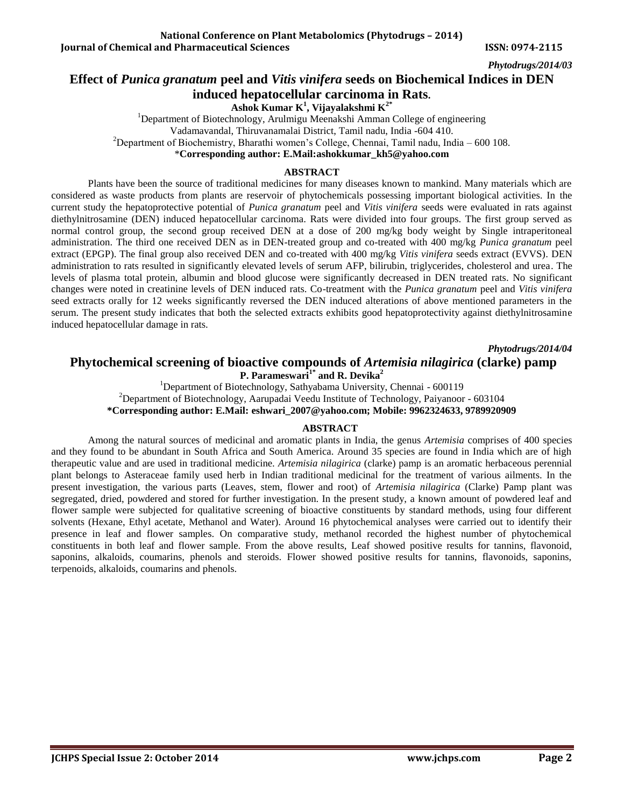# **Effect of** *Punica granatum* **peel and** *Vitis vinifera* **seeds on Biochemical Indices in DEN induced hepatocellular carcinoma in Rats.**

**Ashok Kumar K<sup>1</sup> , Vijayalakshmi K2\***

<sup>1</sup>Department of Biotechnology, Arulmigu Meenakshi Amman College of engineering Vadamavandal, Thiruvanamalai District, Tamil nadu, India -604 410. <sup>2</sup>Department of Biochemistry, Bharathi women's College, Chennai, Tamil nadu, India – 600 108. \***Corresponding author: E.Mail[:ashokkumar\\_kh5@yahoo.com](mailto:ashokkumar_kh5@yahoo.com)** 

#### **ABSTRACT**

Plants have been the source of traditional medicines for many diseases known to mankind. Many materials which are considered as waste products from plants are reservoir of phytochemicals possessing important biological activities. In the current study the hepatoprotective potential of *Punica granatum* peel and *Vitis vinifera* seeds were evaluated in rats against diethylnitrosamine (DEN) induced hepatocellular carcinoma. Rats were divided into four groups. The first group served as normal control group, the second group received DEN at a dose of 200 mg/kg body weight by Single intraperitoneal administration. The third one received DEN as in DEN-treated group and co-treated with 400 mg/kg *Punica granatum* peel extract (EPGP). The final group also received DEN and co-treated with 400 mg/kg *Vitis vinifera* seeds extract (EVVS). DEN administration to rats resulted in significantly elevated levels of serum AFP, bilirubin, triglycerides, cholesterol and urea. The levels of plasma total protein, albumin and blood glucose were significantly decreased in DEN treated rats. No significant changes were noted in creatinine levels of DEN induced rats. Co-treatment with the *Punica granatum* peel and *Vitis vinifera* seed extracts orally for 12 weeks significantly reversed the DEN induced alterations of above mentioned parameters in the serum. The present study indicates that both the selected extracts exhibits good hepatoprotectivity against diethylnitrosamine induced hepatocellular damage in rats.

*Phytodrugs/2014/04*

### **Phytochemical screening of bioactive compounds of** *Artemisia nilagirica* **(clarke) pamp P. Parameswari1\* and R. Devika<sup>2</sup>**

<sup>1</sup>Department of Biotechnology, Sathyabama University, Chennai - 600119 <sup>2</sup>Department of Biotechnology, Aarupadai Veedu Institute of Technology, Paiyanoor - 603104 **\*Corresponding author: E.Mail: eshwari\_2007@yahoo.com; Mobile: 9962324633, 9789920909**

### **ABSTRACT**

Among the natural sources of medicinal and aromatic plants in India, the genus *Artemisia* comprises of 400 species and they found to be abundant in South Africa and South America. Around 35 species are found in India which are of high therapeutic value and are used in traditional medicine. *Artemisia nilagirica* (clarke) pamp is an aromatic herbaceous perennial plant belongs to Asteraceae family used herb in Indian traditional medicinal for the treatment of various ailments. In the present investigation, the various parts (Leaves, stem, flower and root) of *Artemisia nilagirica* (Clarke) Pamp plant was segregated, dried, powdered and stored for further investigation. In the present study, a known amount of powdered leaf and flower sample were subjected for qualitative screening of bioactive constituents by standard methods, using four different solvents (Hexane, Ethyl acetate, Methanol and Water). Around 16 phytochemical analyses were carried out to identify their presence in leaf and flower samples. On comparative study, methanol recorded the highest number of phytochemical constituents in both leaf and flower sample. From the above results, Leaf showed positive results for tannins, flavonoid, saponins, alkaloids, coumarins, phenols and steroids. Flower showed positive results for tannins, flavonoids, saponins, terpenoids, alkaloids, coumarins and phenols.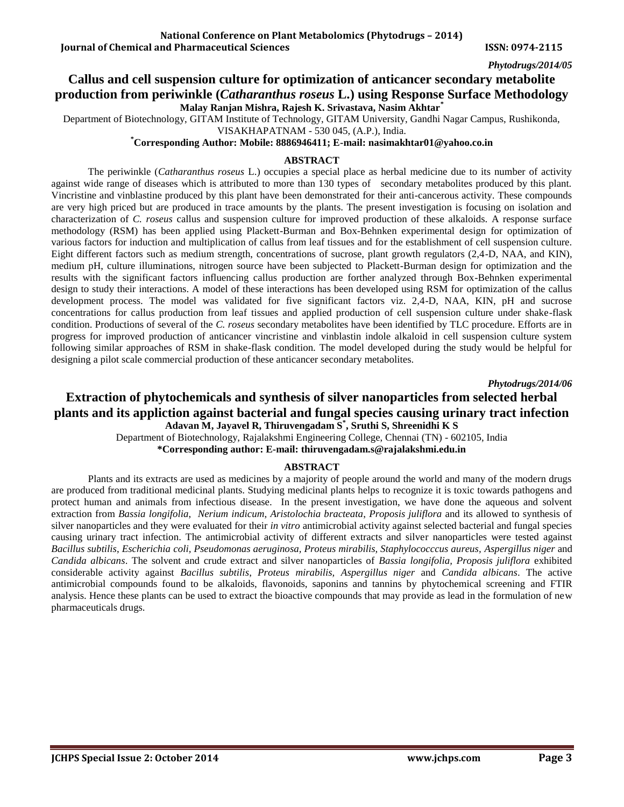# **Callus and cell suspension culture for optimization of anticancer secondary metabolite production from periwinkle (***Catharanthus roseus* **L.) using Response Surface Methodology Malay Ranjan Mishra, Rajesh K. Srivastava, Nasim Akhtar\***

Department of Biotechnology, GITAM Institute of Technology, GITAM University, Gandhi Nagar Campus, Rushikonda,

VISAKHAPATNAM - 530 045, (A.P.), India.

**\*Corresponding Author: Mobile: 8886946411; E-mail[: nasimakhtar01@yahoo.co.in](mailto:nasimakhtar01@yahoo.co.in)**

#### **ABSTRACT**

The periwinkle (*Catharanthus roseus* L.) occupies a special place as herbal medicine due to its number of activity against wide range of diseases which is attributed to more than 130 types of secondary metabolites produced by this plant. Vincristine and vinblastine produced by this plant have been demonstrated for their anti-cancerous activity. These compounds are very high priced but are produced in trace amounts by the plants. The present investigation is focusing on isolation and characterization of *C. roseus* callus and suspension culture for improved production of these alkaloids. A response surface methodology (RSM) has been applied using Plackett-Burman and Box-Behnken experimental design for optimization of various factors for induction and multiplication of callus from leaf tissues and for the establishment of cell suspension culture. Eight different factors such as medium strength, concentrations of sucrose, plant growth regulators (2,4-D, NAA, and KIN), medium pH, culture illuminations, nitrogen source have been subjected to Plackett-Burman design for optimization and the results with the significant factors influencing callus production are forther analyzed through Box-Behnken experimental design to study their interactions. A model of these interactions has been developed using RSM for optimization of the callus development process. The model was validated for five significant factors viz. 2,4-D, NAA, KIN, pH and sucrose concentrations for callus production from leaf tissues and applied production of cell suspension culture under shake-flask condition. Productions of several of the *C. roseus* secondary metabolites have been identified by TLC procedure. Efforts are in progress for improved production of anticancer vincristine and vinblastin indole alkaloid in cell suspension culture system following similar approaches of RSM in shake-flask condition. The model developed during the study would be helpful for designing a pilot scale commercial production of these anticancer secondary metabolites.

#### *Phytodrugs/2014/06*

# **Extraction of phytochemicals and synthesis of silver nanoparticles from selected herbal plants and its appliction against bacterial and fungal species causing urinary tract infection Adavan M, Jayavel R, Thiruvengadam S\* , Sruthi S, Shreenidhi K S**

Department of Biotechnology, Rajalakshmi Engineering College, Chennai (TN) - 602105, India **\*Corresponding author: E-mail: thiruvengadam.s@rajalakshmi.edu.in**

### **ABSTRACT**

Plants and its extracts are used as medicines by a majority of people around the world and many of the modern drugs are produced from traditional medicinal plants. Studying medicinal plants helps to recognize it is toxic towards pathogens and protect human and animals from infectious disease. In the present investigation, we have done the aqueous and solvent extraction from *Bassia longifolia*, *Nerium indicum*, *Aristolochia bracteata*, *Proposis juliflora* and its allowed to synthesis of silver nanoparticles and they were evaluated for their *in vitro* antimicrobial activity against selected bacterial and fungal species causing urinary tract infection. The antimicrobial activity of different extracts and silver nanoparticles were tested against *Bacillus subtilis*, *Escherichia coli, Pseudomonas aeruginosa, Proteus mirabilis, Staphylococccus aureus, Aspergillus niger* and *Candida albicans*. The solvent and crude extract and silver nanoparticles of *Bassia longifolia, Proposis juliflora* exhibited considerable activity against *Bacillus subtilis*, *Proteus mirabilis, Aspergillus niger* and *Candida albicans*. The active antimicrobial compounds found to be alkaloids, flavonoids, saponins and tannins by phytochemical screening and FTIR analysis. Hence these plants can be used to extract the bioactive compounds that may provide as lead in the formulation of new pharmaceuticals drugs.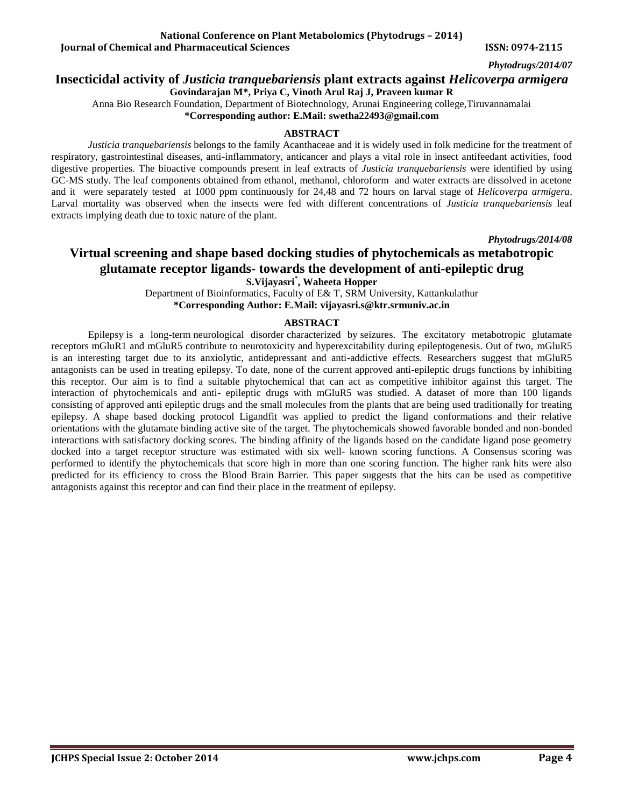#### **National Conference on Plant Metabolomics (Phytodrugs – 2014) Iournal of Chemical and Pharmaceutical Sciences ISSN: 0974-2115**

*Phytodrugs/2014/07*

### **Insecticidal activity of** *Justicia tranquebariensis* **plant extracts against** *Helicoverpa armigera*

**Govindarajan M\*, Priya C, Vinoth Arul Raj J, Praveen kumar R**

Anna Bio Research Foundation, Department of Biotechnology, Arunai Engineering college,Tiruvannamalai

**\*Corresponding author: E.Mail: [swetha22493@gmail.com](mailto:swetha22493@gmail.com)**

### **ABSTRACT**

*Justicia tranquebariensis* belongs to the family Acanthaceae and it is widely used in folk medicine for the treatment of respiratory, gastrointestinal diseases, anti-inflammatory, anticancer and plays a vital role in insect antifeedant activities, food digestive properties. The bioactive compounds present in leaf extracts of *Justicia tranquebariensis* were identified by using GC-MS study. The leaf components obtained from ethanol, methanol, chloroform and water extracts are dissolved in acetone and it were separately tested at 1000 ppm continuously for 24,48 and 72 hours on larval stage of *Helicoverpa armigera*. Larval mortality was observed when the insects were fed with different concentrations of *Justicia tranquebariensis* leaf extracts implying death due to toxic nature of the plant.

*Phytodrugs/2014/08*

# **Virtual screening and shape based docking studies of phytochemicals as metabotropic glutamate receptor ligands- towards the development of anti-epileptic drug S.Vijayasri\* , Waheeta Hopper**

Department of Bioinformatics, Faculty of E& T, SRM University, Kattankulathur **\*Corresponding Author: E.Mail: [vijayasri.s@ktr.srmuniv.ac.in](mailto:vijayasri.s@ktr.srmuniv.ac.in)**

### **ABSTRACT**

Epilepsy is a long-term neurological disorder characterized by seizures. The excitatory metabotropic glutamate receptors mGluR1 and mGluR5 contribute to neurotoxicity and hyperexcitability during epileptogenesis. Out of two, mGluR5 is an interesting target due to its anxiolytic, antidepressant and anti-addictive effects. Researchers suggest that mGluR5 antagonists can be used in treating epilepsy. To date, none of the current approved anti-epileptic drugs functions by inhibiting this receptor. Our aim is to find a suitable phytochemical that can act as competitive inhibitor against this target. The interaction of phytochemicals and anti- epileptic drugs with mGluR5 was studied. A dataset of more than 100 ligands consisting of approved anti epileptic drugs and the small molecules from the plants that are being used traditionally for treating epilepsy. A shape based docking protocol Ligandfit was applied to predict the ligand conformations and their relative orientations with the glutamate binding active site of the target. The phytochemicals showed favorable bonded and non-bonded interactions with satisfactory docking scores. The binding affinity of the ligands based on the candidate ligand pose geometry docked into a target receptor structure was estimated with six well- known scoring functions. A Consensus scoring was performed to identify the phytochemicals that score high in more than one scoring function. The higher rank hits were also predicted for its efficiency to cross the Blood Brain Barrier. This paper suggests that the hits can be used as competitive antagonists against this receptor and can find their place in the treatment of epilepsy.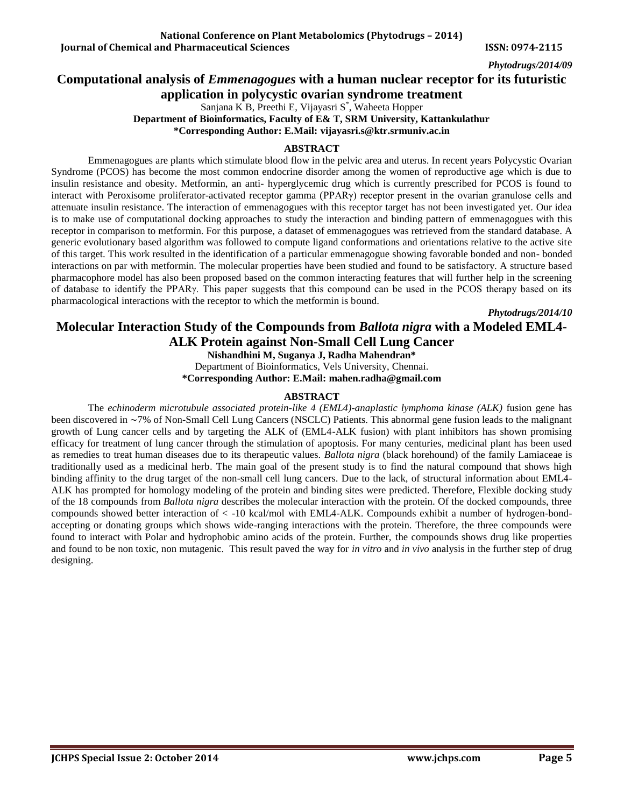# **Computational analysis of** *Emmenagogues* **with a human nuclear receptor for its futuristic application in polycystic ovarian syndrome treatment**

Sanjana K B, Preethi E, Vijayasri S\* , Waheeta Hopper **Department of Bioinformatics, Faculty of E& T, SRM University, Kattankulathur \*Corresponding Author: E.Mail: [vijayasri.s@ktr.srmuniv.ac.in](mailto:vijayasri.s@ktr.srmuniv.ac.in)**

### **ABSTRACT**

Emmenagogues are plants which stimulate blood flow in the pelvic area and uterus. In recent years Polycystic Ovarian Syndrome (PCOS) has become the most common endocrine disorder among the women of reproductive age which is due to insulin resistance and obesity. Metformin, an anti- hyperglycemic drug which is currently prescribed for PCOS is found to interact with Peroxisome proliferator-activated receptor gamma (PPARγ) receptor present in the ovarian granulose cells and attenuate insulin resistance. The interaction of emmenagogues with this receptor target has not been investigated yet. Our idea is to make use of computational docking approaches to study the interaction and binding pattern of emmenagogues with this receptor in comparison to metformin. For this purpose, a dataset of emmenagogues was retrieved from the standard database. A generic evolutionary based algorithm was followed to compute ligand conformations and orientations relative to the active site of this target. This work resulted in the identification of a particular emmenagogue showing favorable bonded and non- bonded interactions on par with metformin. The molecular properties have been studied and found to be satisfactory. A structure based pharmacophore model has also been proposed based on the common interacting features that will further help in the screening of database to identify the PPARγ. This paper suggests that this compound can be used in the PCOS therapy based on its pharmacological interactions with the receptor to which the metformin is bound.

*Phytodrugs/2014/10*

# **Molecular Interaction Study of the Compounds from** *Ballota nigra* **with a Modeled EML4- ALK Protein against Non-Small Cell Lung Cancer**

**Nishandhini M, Suganya J, Radha Mahendran\***

Department of Bioinformatics, Vels University, Chennai.

**\*Corresponding Author: E.Mail[: mahen.radha@gmail.com](mailto:mahen.radha@gmail.com)**

### **ABSTRACT**

The *echinoderm microtubule associated protein-like 4 (EML4)-anaplastic lymphoma kinase (ALK)* fusion gene has been discovered in ∼7% of Non-Small Cell Lung Cancers (NSCLC) Patients. This abnormal gene fusion leads to the malignant growth of Lung cancer cells and by targeting the ALK of (EML4-ALK fusion) with plant inhibitors has shown promising efficacy for treatment of lung cancer through the stimulation of apoptosis. For many centuries, medicinal plant has been used as remedies to treat human diseases due to its therapeutic values. *Ballota nigra* (black horehound) of the family Lamiaceae is traditionally used as a medicinal herb. The main goal of the present study is to find the natural compound that shows high binding affinity to the drug target of the non-small cell lung cancers. Due to the lack, of structural information about EML4- ALK has prompted for homology modeling of the protein and binding sites were predicted. Therefore, Flexible docking study of the 18 compounds from *Ballota nigra* describes the molecular interaction with the protein. Of the docked compounds, three compounds showed better interaction of < -10 kcal/mol with EML4-ALK. Compounds exhibit a number of hydrogen-bondaccepting or donating groups which shows wide-ranging interactions with the protein. Therefore, the three compounds were found to interact with Polar and hydrophobic amino acids of the protein. Further, the compounds shows drug like properties and found to be non toxic, non mutagenic. This result paved the way for *in vitro* and *in vivo* analysis in the further step of drug designing.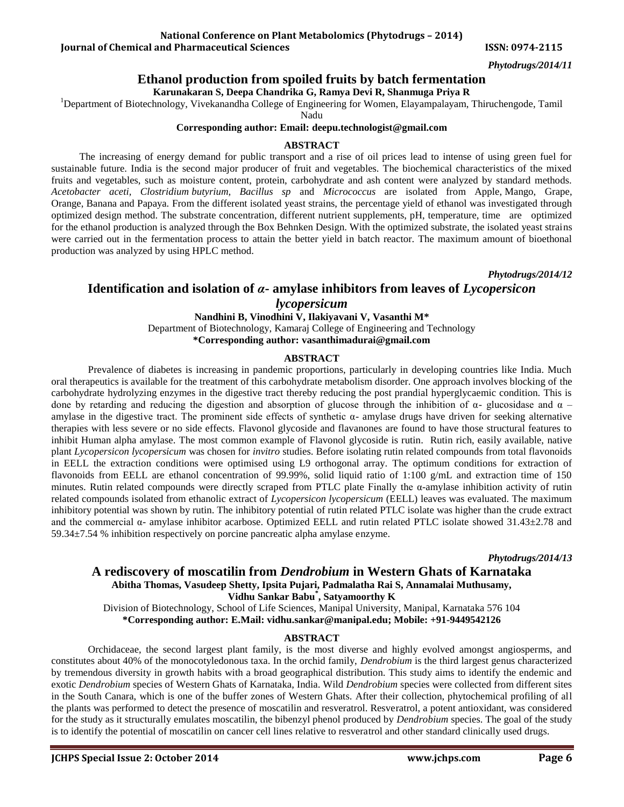### **National Conference on Plant Metabolomics (Phytodrugs – 2014)**

**Iournal of Chemical and Pharmaceutical Sciences ISSN: 0974-2115** 

*Phytodrugs/2014/11*

### **Ethanol production from spoiled fruits by batch fermentation**

**Karunakaran S, Deepa Chandrika G, Ramya Devi R, Shanmuga Priya R**

<sup>1</sup>Department of Biotechnology, Vivekanandha College of Engineering for Women, Elayampalayam, Thiruchengode, Tamil

Nadu

#### **Corresponding author: Email: [deepu.technologist@gmail.com](mailto:deepu.technologist@gmail.com)**

#### **ABSTRACT**

 The increasing of energy demand for public transport and a rise of oil prices lead to intense of using green fuel for sustainable future. India is the second major producer of fruit and vegetables. The biochemical characteristics of the mixed fruits and vegetables, such as moisture content, protein, carbohydrate and ash content were analyzed by standard methods. *Acetobacter aceti, Clostridium butyrium, Bacillus sp* and *Micrococcus* are isolated from Apple, Mango, Grape, Orange, Banana and Papaya. From the different isolated yeast strains, the percentage yield of ethanol was investigated through optimized design method. The substrate concentration, different nutrient supplements, pH, temperature, time are optimized for the ethanol production is analyzed through the Box Behnken Design. With the optimized substrate, the isolated yeast strains were carried out in the fermentation process to attain the better yield in batch reactor. The maximum amount of bioethonal production was analyzed by using HPLC method.

*Phytodrugs/2014/12*

### **Identification and isolation of** *α***- amylase inhibitors from leaves of** *Lycopersicon*

# *lycopersicum*

**Nandhini B, Vinodhini V, Ilakiyavani V, Vasanthi M\*** Department of Biotechnology, Kamaraj College of Engineering and Technology **\*Corresponding author: [vasanthimadurai@gmail.com](mailto:vasanthimadurai@gmail.com)**

#### **ABSTRACT**

Prevalence of diabetes is increasing in pandemic proportions, particularly in developing countries like India. Much oral therapeutics is available for the treatment of this carbohydrate metabolism disorder. One approach involves blocking of the carbohydrate hydrolyzing enzymes in the digestive tract thereby reducing the post prandial hyperglycaemic condition. This is done by retarding and reducing the digestion and absorption of glucose through the inhibition of  $\alpha$ - glucosidase and  $\alpha$  – amylase in the digestive tract. The prominent side effects of synthetic  $\alpha$ - amylase drugs have driven for seeking alternative therapies with less severe or no side effects. Flavonol glycoside and flavanones are found to have those structural features to inhibit Human alpha amylase. The most common example of Flavonol glycoside is rutin. Rutin rich, easily available, native plant *Lycopersicon lycopersicum* was chosen for *invitro* studies. Before isolating rutin related compounds from total flavonoids in EELL the extraction conditions were optimised using L9 orthogonal array. The optimum conditions for extraction of flavonoids from EELL are ethanol concentration of 99.99%, solid liquid ratio of 1:100 g/mL and extraction time of 150 minutes. Rutin related compounds were directly scraped from PTLC plate Finally the  $\alpha$ -amylase inhibition activity of rutin related compounds isolated from ethanolic extract of *Lycopersicon lycopersicum* (EELL) leaves was evaluated. The maximum inhibitory potential was shown by rutin. The inhibitory potential of rutin related PTLC isolate was higher than the crude extract and the commercial  $\alpha$ - amylase inhibitor acarbose. Optimized EELL and rutin related PTLC isolate showed 31.43±2.78 and 59.34±7.54 % inhibition respectively on porcine pancreatic alpha amylase enzyme.

*Phytodrugs/2014/13*

### **A rediscovery of moscatilin from** *Dendrobium* **in Western Ghats of Karnataka Abitha Thomas, Vasudeep Shetty, Ipsita Pujari, Padmalatha Rai S, Annamalai Muthusamy, Vidhu Sankar Babu\* , Satyamoorthy K**

Division of Biotechnology, School of Life Sciences, Manipal University, Manipal, Karnataka 576 104 **\*Corresponding author: E.Mail: [vidhu.sankar@manipal.edu;](mailto:vidhu.sankar@manipal.edu) Mobile: +91-9449542126**

#### **ABSTRACT**

Orchidaceae, the second largest plant family, is the most diverse and highly evolved amongst angiosperms, and constitutes about 40% of the monocotyledonous taxa. In the orchid family, *Dendrobium* is the third largest genus characterized by tremendous diversity in growth habits with a broad geographical distribution. This study aims to identify the endemic and exotic *Dendrobium* species of Western Ghats of Karnataka, India. Wild *Dendrobium* species were collected from different sites in the South Canara, which is one of the buffer zones of Western Ghats. After their collection, phytochemical profiling of all the plants was performed to detect the presence of moscatilin and resveratrol. Resveratrol, a potent antioxidant, was considered for the study as it structurally emulates moscatilin, the bibenzyl phenol produced by *Dendrobium* species. The goal of the study is to identify the potential of moscatilin on cancer cell lines relative to resveratrol and other standard clinically used drugs.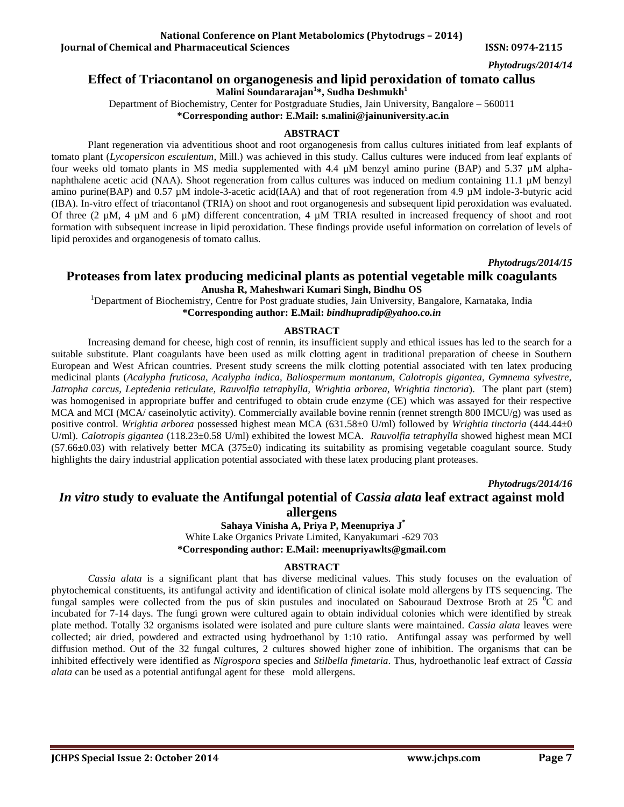# **Effect of Triacontanol on organogenesis and lipid peroxidation of tomato callus**

**Malini Soundararajan<sup>1</sup> \*, Sudha Deshmukh<sup>1</sup>**

Department of Biochemistry, Center for Postgraduate Studies, Jain University, Bangalore – 560011

**\*Corresponding author: E.Mail[: s.malini@jainuniversity.ac.in](mailto:s.malini@jainuniversity.ac.in)**

### **ABSTRACT**

Plant regeneration via adventitious shoot and root organogenesis from callus cultures initiated from leaf explants of tomato plant (*Lycopersicon esculentum*, Mill.) was achieved in this study. Callus cultures were induced from leaf explants of four weeks old tomato plants in MS media supplemented with 4.4 µM benzyl amino purine (BAP) and 5.37 µM alphanaphthalene acetic acid (NAA). Shoot regeneration from callus cultures was induced on medium containing 11.1 µM benzyl amino purine(BAP) and 0.57 µM indole-3-acetic acid(IAA) and that of root regeneration from 4.9 µM indole-3-butyric acid (IBA). In-vitro effect of triacontanol (TRIA) on shoot and root organogenesis and subsequent lipid peroxidation was evaluated. Of three  $(2 \mu M, 4 \mu M$  and 6  $\mu$ M) different concentration, 4  $\mu$ M TRIA resulted in increased frequency of shoot and root formation with subsequent increase in lipid peroxidation. These findings provide useful information on correlation of levels of lipid peroxides and organogenesis of tomato callus.

*Phytodrugs/2014/15* **Proteases from latex producing medicinal plants as potential vegetable milk coagulants Anusha R, Maheshwari Kumari Singh, Bindhu OS**

<sup>1</sup>Department of Biochemistry, Centre for Post graduate studies, Jain University, Bangalore, Karnataka, India **\*Corresponding author: E.Mail:** *bindhupradip@yahoo.co.in*

### **ABSTRACT**

Increasing demand for cheese, high cost of rennin, its insufficient supply and ethical issues has led to the search for a suitable substitute. Plant coagulants have been used as milk clotting agent in traditional preparation of cheese in Southern European and West African countries. Present study screens the milk clotting potential associated with ten latex producing medicinal plants (*Acalypha fruticosa, Acalypha indica, Baliospermum montanum, Calotropis gigantea, Gymnema sylvestre, Jatropha carcus, Leptedenia reticulate, Rauvolfia tetraphylla, Wrightia arborea, Wrightia tinctoria*). The plant part (stem) was homogenised in appropriate buffer and centrifuged to obtain crude enzyme (CE) which was assayed for their respective MCA and MCI (MCA/ caseinolytic activity). Commercially available bovine rennin (rennet strength 800 IMCU/g) was used as positive control. *Wrightia arborea* possessed highest mean MCA (631.58±0 U/ml) followed by *Wrightia tinctoria* (444.44±0 U/ml). *Calotropis gigantea* (118.23±0.58 U/ml) exhibited the lowest MCA. *Rauvolfia tetraphylla* showed highest mean MCI  $(57.66\pm0.03)$  with relatively better MCA  $(375\pm0)$  indicating its suitability as promising vegetable coagulant source. Study highlights the dairy industrial application potential associated with these latex producing plant proteases.

*Phytodrugs/2014/16*

# *In vitro* **study to evaluate the Antifungal potential of** *Cassia alata* **leaf extract against mold allergens**

**Sahaya Vinisha A, Priya P, Meenupriya J \***

White Lake Organics Private Limited, Kanyakumari -629 703 **\*Corresponding author: E.Mail: [meenupriyawlts@gmail.com](mailto:meenupriyawlts@gmail.com)**

### **ABSTRACT**

*Cassia alata* is a significant plant that has diverse medicinal values. This study focuses on the evaluation of phytochemical constituents, its antifungal activity and identification of clinical isolate mold allergens by ITS sequencing. The fungal samples were collected from the pus of skin pustules and inoculated on Sabouraud Dextrose Broth at 25  $\degree$ C and incubated for 7-14 days. The fungi grown were cultured again to obtain individual colonies which were identified by streak plate method. Totally 32 organisms isolated were isolated and pure culture slants were maintained. *Cassia alata* leaves were collected; air dried, powdered and extracted using hydroethanol by 1:10 ratio. Antifungal assay was performed by well diffusion method. Out of the 32 fungal cultures, 2 cultures showed higher zone of inhibition. The organisms that can be inhibited effectively were identified as *Nigrospora* species and *Stilbella fimetaria*. Thus, hydroethanolic leaf extract of *Cassia alata* can be used as a potential antifungal agent for these mold allergens.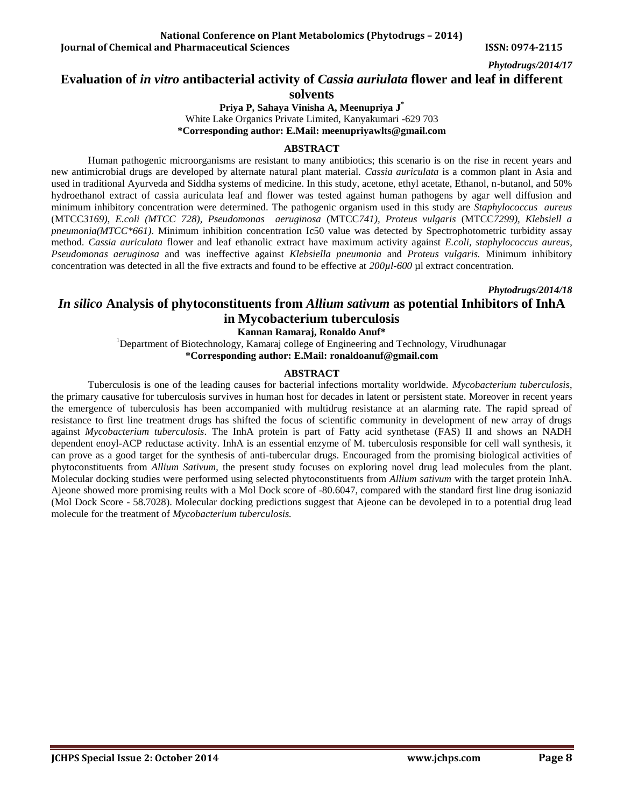# **Evaluation of** *in vitro* **antibacterial activity of** *Cassia auriulata* **flower and leaf in different**

**solvents**

**Priya P, Sahaya Vinisha A, Meenupriya J \*** White Lake Organics Private Limited, Kanyakumari -629 703 **\*Corresponding author: E.Mail: [meenupriyawlts@gmail.com](mailto:meenupriyawlts@gmail.com)**

#### **ABSTRACT**

Human pathogenic microorganisms are resistant to many antibiotics; this scenario is on the rise in recent years and new antimicrobial drugs are developed by alternate natural plant material. *Cassia auriculata* is a common plant in Asia and used in traditional Ayurveda and Siddha systems of medicine. In this study, acetone, ethyl acetate, Ethanol, n-butanol, and 50% hydroethanol extract of cassia auriculata leaf and flower was tested against human pathogens by agar well diffusion and minimum inhibitory concentration were determined. The pathogenic organism used in this study are *Staphylococcus aureus* (MTCC*3169)*, *E.coli (MTCC 728), Pseudomonas aeruginosa* (MTCC*741), Proteus vulgaris* (MTCC*7299), Klebsiell a pneumonia(MTCC\*661)*. Minimum inhibition concentration Ic50 value was detected by Spectrophotometric turbidity assay method*. Cassia auriculata* flower and leaf ethanolic extract have maximum activity against *E.coli, staphylococcus aureus*, *Pseudomonas aeruginosa* and was ineffective against *Klebsiella pneumonia* and *Proteus vulgaris.* Minimum inhibitory concentration was detected in all the five extracts and found to be effective at *200µl-600* µl extract concentration.

*Phytodrugs/2014/18*

# *In silico* **Analysis of phytoconstituents from** *Allium sativum* **as potential Inhibitors of InhA in Mycobacterium tuberculosis**

**Kannan Ramaraj, Ronaldo Anuf\***

<sup>1</sup>Department of Biotechnology, Kamaraj college of Engineering and Technology, Virudhunagar **\*Corresponding author: E.Mail: ronaldoanuf@gmail.com**

### **ABSTRACT**

Tuberculosis is one of the leading causes for bacterial infections mortality worldwide. *Mycobacterium tuberculosis*, the primary causative for tuberculosis survives in human host for decades in latent or persistent state. Moreover in recent years the emergence of tuberculosis has been accompanied with multidrug resistance at an alarming rate. The rapid spread of resistance to first line treatment drugs has shifted the focus of scientific community in development of new array of drugs against *Mycobacterium tuberculosis*. The InhA protein is part of Fatty acid synthetase (FAS) II and shows an NADH dependent enoyl-ACP reductase activity. InhA is an essential enzyme of M. tuberculosis responsible for cell wall synthesis, it can prove as a good target for the synthesis of anti-tubercular drugs. Encouraged from the promising biological activities of phytoconstituents from *Allium Sativum*, the present study focuses on exploring novel drug lead molecules from the plant. Molecular docking studies were performed using selected phytoconstituents from *Allium sativum* with the target protein InhA. Ajeone showed more promising reults with a Mol Dock score of -80.6047, compared with the standard first line drug isoniazid (Mol Dock Score - 58.7028). Molecular docking predictions suggest that Ajeone can be devoleped in to a potential drug lead molecule for the treatment of *Mycobacterium tuberculosis.*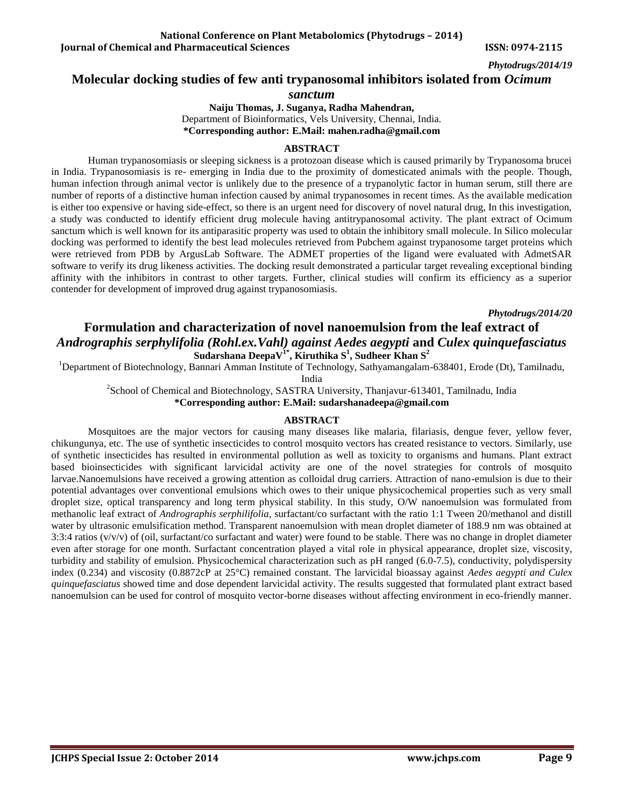### **Molecular docking studies of few anti trypanosomal inhibitors isolated from** *Ocimum*

*sanctum*

**Naiju Thomas, J. Suganya, Radha Mahendran,** Department of Bioinformatics, Vels University, Chennai, India. **\*Corresponding author: E.Mail: mahen.radha@gmail.com**

#### **ABSTRACT**

Human trypanosomiasis or sleeping sickness is a protozoan disease which is caused primarily by Trypanosoma brucei in India. Trypanosomiasis is re- emerging in India due to the proximity of domesticated animals with the people. Though, human infection through animal vector is unlikely due to the presence of a trypanolytic factor in human serum, still there are number of reports of a distinctive human infection caused by animal trypanosomes in recent times. As the available medication is either too expensive or having side-effect, so there is an urgent need for discovery of novel natural drug, In this investigation, a study was conducted to identify efficient drug molecule having antitrypanosomal activity. The plant extract of Ocimum sanctum which is well known for its antiparasitic property was used to obtain the inhibitory small molecule. In Silico molecular docking was performed to identify the best lead molecules retrieved from Pubchem against trypanosome target proteins which were retrieved from PDB by ArgusLab Software. The ADMET properties of the ligand were evaluated with AdmetSAR software to verify its drug likeness activities. The docking result demonstrated a particular target revealing exceptional binding affinity with the inhibitors in contrast to other targets. Further, clinical studies will confirm its efficiency as a superior contender for development of improved drug against trypanosomiasis.

*Phytodrugs/2014/20*

# **Formulation and characterization of novel nanoemulsion from the leaf extract of**  *Andrographis serphylifolia (Rohl.ex.Vahl) against Aedes aegypti* **and** *Culex quinquefasciatus* **Sudarshana DeepaV1\* , Kiruthika S<sup>1</sup> , Sudheer Khan S<sup>2</sup>**

<sup>1</sup>Department of Biotechnology, Bannari Amman Institute of Technology, Sathyamangalam-638401, Erode (Dt), Tamilnadu,

India

<sup>2</sup>School of Chemical and Biotechnology, SASTRA University, Thanjavur-613401, Tamilnadu, India

**\*Corresponding author: E.Mail: [sudarshanadeepa@gmail.com](mailto:sudarshanadeepa@gmail.com)**

### **ABSTRACT**

Mosquitoes are the major vectors for causing many diseases like malaria, filariasis, dengue fever, yellow fever, chikungunya, etc. The use of synthetic insecticides to control mosquito vectors has created resistance to vectors. Similarly, use of synthetic insecticides has resulted in environmental pollution as well as toxicity to organisms and humans. Plant extract based bioinsecticides with significant larvicidal activity are one of the novel strategies for controls of mosquito larvae.Nanoemulsions have received a growing attention as colloidal drug carriers. Attraction of nano-emulsion is due to their potential advantages over conventional emulsions which owes to their unique physicochemical properties such as very small droplet size, optical transparency and long term physical stability. In this study, O/W nanoemulsion was formulated from methanolic leaf extract of *Andrographis serphilifolia*, surfactant/co surfactant with the ratio 1:1 Tween 20/methanol and distill water by ultrasonic emulsification method. Transparent nanoemulsion with mean droplet diameter of 188.9 nm was obtained at 3:3:4 ratios (v/v/v) of (oil, surfactant/co surfactant and water) were found to be stable. There was no change in droplet diameter even after storage for one month. Surfactant concentration played a vital role in physical appearance, droplet size, viscosity, turbidity and stability of emulsion. Physicochemical characterization such as pH ranged (6.0-7.5), conductivity, polydispersity index (0.234) and viscosity (0.8872cP at 25°C) remained constant. The larvicidal bioassay against *Aedes aegypti and Culex quinquefasciatus* showed time and dose dependent larvicidal activity. The results suggested that formulated plant extract based nanoemulsion can be used for control of mosquito vector-borne diseases without affecting environment in eco-friendly manner.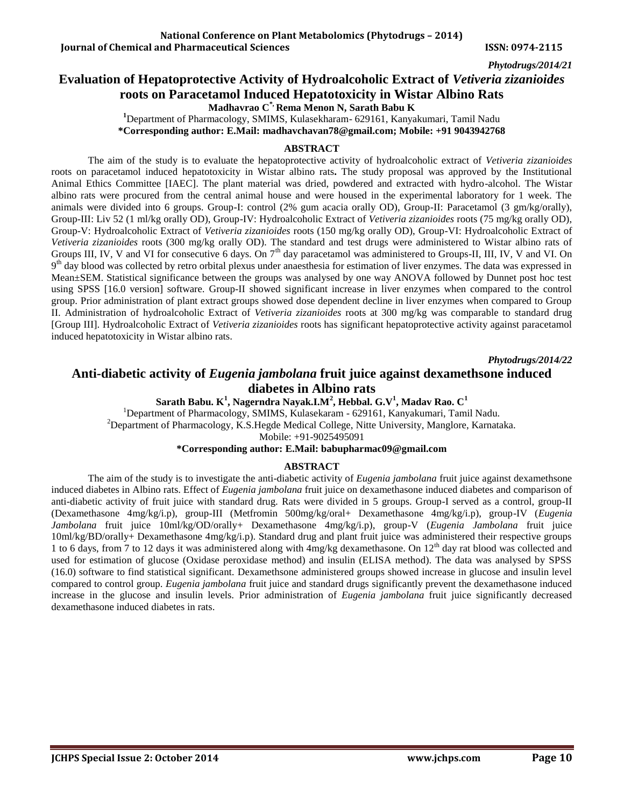# **Evaluation of Hepatoprotective Activity of Hydroalcoholic Extract of** *Vetiveria zizanioides* **roots on Paracetamol Induced Hepatotoxicity in Wistar Albino Rats**

**Madhavrao C\*, Rema Menon N, Sarath Babu K**

**<sup>1</sup>**Department of Pharmacology, SMIMS, Kulasekharam- 629161, Kanyakumari, Tamil Nadu

**\*Corresponding author: E.Mail: [madhavchavan78@gmail.com;](mailto:madhavchavan78@gmail.com) Mobile: +91 9043942768**

#### **ABSTRACT**

The aim of the study is to evaluate the hepatoprotective activity of hydroalcoholic extract of *Vetiveria zizanioides* roots on paracetamol induced hepatotoxicity in Wistar albino rats**.** The study proposal was approved by the Institutional Animal Ethics Committee [IAEC]. The plant material was dried, powdered and extracted with hydro-alcohol. The Wistar albino rats were procured from the central animal house and were housed in the experimental laboratory for 1 week. The animals were divided into 6 groups. Group-I: control (2% gum acacia orally OD), Group-II: Paracetamol (3 gm/kg/orally), Group-III: Liv 52 (1 ml/kg orally OD), Group-IV: Hydroalcoholic Extract of *Vetiveria zizanioides* roots (75 mg/kg orally OD), Group-V: Hydroalcoholic Extract of *Vetiveria zizanioides* roots (150 mg/kg orally OD), Group-VI: Hydroalcoholic Extract of *Vetiveria zizanioides* roots (300 mg/kg orally OD). The standard and test drugs were administered to Wistar albino rats of Groups III, IV, V and VI for consecutive 6 days. On 7<sup>th</sup> day paracetamol was administered to Groups-II, III, IV, V and VI. On 9<sup>th</sup> day blood was collected by retro orbital plexus under anaesthesia for estimation of liver enzymes. The data was expressed in Mean±SEM. Statistical significance between the groups was analysed by one way ANOVA followed by Dunnet post hoc test using SPSS [16.0 version] software. Group-II showed significant increase in liver enzymes when compared to the control group. Prior administration of plant extract groups showed dose dependent decline in liver enzymes when compared to Group II. Administration of hydroalcoholic Extract of *Vetiveria zizanioides* roots at 300 mg/kg was comparable to standard drug [Group III]. Hydroalcoholic Extract of *Vetiveria zizanioides* roots has significant hepatoprotective activity against paracetamol induced hepatotoxicity in Wistar albino rats.

*Phytodrugs/2014/22*

# **Anti-diabetic activity of** *Eugenia jambolana* **fruit juice against dexamethsone induced diabetes in Albino rats**

**Sarath Babu. K<sup>1</sup> , Nagerndra Nayak.I.M<sup>2</sup> , Hebbal. G.V<sup>1</sup> , Madav Rao. C<sup>1</sup>** <sup>1</sup>Department of Pharmacology, SMIMS, Kulasekaram - 629161, Kanyakumari, Tamil Nadu.

<sup>2</sup>Department of Pharmacology, K.S.Hegde Medical College, Nitte University, Manglore, Karnataka. Mobile: +91-9025495091

#### **\*Corresponding author: E.Mail: [babupharmac09@gmail.com](mailto:babupharmac09@gmail.com)**

#### **ABSTRACT**

The aim of the study is to investigate the anti-diabetic activity of *Eugenia jambolana* fruit juice against dexamethsone induced diabetes in Albino rats. Effect of *Eugenia jambolana* fruit juice on dexamethasone induced diabetes and comparison of anti-diabetic activity of fruit juice with standard drug. Rats were divided in 5 groups. Group-I served as a control, group-II (Dexamethasone 4mg/kg/i.p), group-III (Metfromin 500mg/kg/oral+ Dexamethasone 4mg/kg/i.p), group-IV (*Eugenia Jambolana* fruit juice 10ml/kg/OD/orally+ Dexamethasone 4mg/kg/i.p), group-V (*Eugenia Jambolana* fruit juice 10ml/kg/BD/orally+ Dexamethasone 4mg/kg/i.p). Standard drug and plant fruit juice was administered their respective groups 1 to 6 days, from 7 to 12 days it was administered along with 4mg/kg dexamethasone. On 12<sup>th</sup> day rat blood was collected and used for estimation of glucose (Oxidase peroxidase method) and insulin (ELISA method). The data was analysed by SPSS (16.0) software to find statistical significant. Dexamethsone administered groups showed increase in glucose and insulin level compared to control group. *Eugenia jambolana* fruit juice and standard drugs significantly prevent the dexamethasone induced increase in the glucose and insulin levels. Prior administration of *Eugenia jambolana* fruit juice significantly decreased dexamethasone induced diabetes in rats.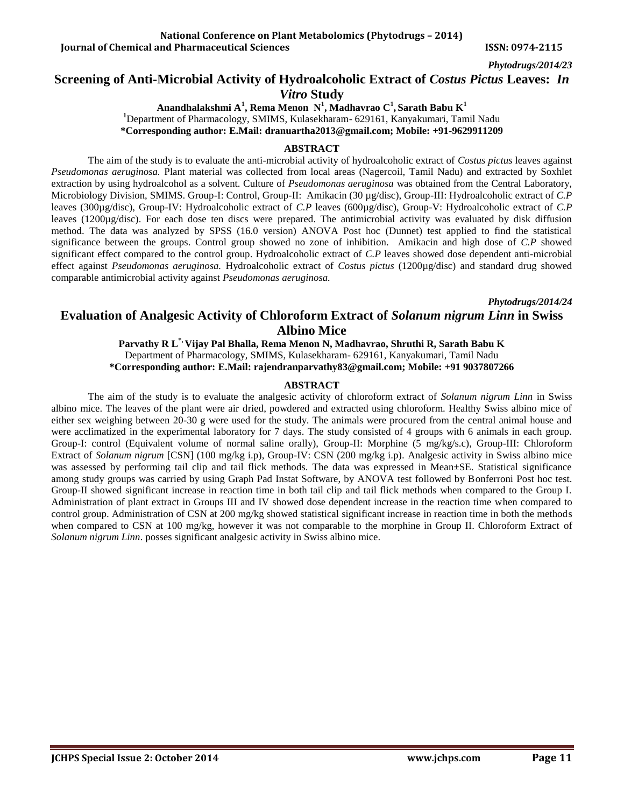# **Screening of Anti-Microbial Activity of Hydroalcoholic Extract of** *Costus Pictus* **Leaves:** *In Vitro* **Study**

**Anandhalakshmi A<sup>1</sup> , Rema Menon N<sup>1</sup> , Madhavrao C<sup>1</sup> , Sarath Babu K<sup>1</sup> <sup>1</sup>**Department of Pharmacology, SMIMS, Kulasekharam- 629161, Kanyakumari, Tamil Nadu **\*Corresponding author: E.Mail: dranuartha2013@gmail.com; Mobile: +91-9629911209**

#### **ABSTRACT**

The aim of the study is to evaluate the anti-microbial activity of hydroalcoholic extract of *Costus pictus* leaves against *Pseudomonas aeruginosa.* Plant material was collected from local areas (Nagercoil, Tamil Nadu) and extracted by Soxhlet extraction by using hydroalcohol as a solvent. Culture of *Pseudomonas aeruginosa* was obtained from the Central Laboratory, Microbiology Division, SMIMS. Group-I: Control, Group-II: Amikacin (30 µg/disc), Group-III: Hydroalcoholic extract of *C.P* leaves (300µg/disc), Group-IV: Hydroalcoholic extract of *C.P* leaves (600µg/disc), Group-V: Hydroalcoholic extract of *C.P* leaves (1200µg/disc). For each dose ten discs were prepared. The antimicrobial activity was evaluated by disk diffusion method. The data was analyzed by SPSS (16.0 version) ANOVA Post hoc (Dunnet) test applied to find the statistical significance between the groups. Control group showed no zone of inhibition. Amikacin and high dose of *C.P* showed significant effect compared to the control group. Hydroalcoholic extract of *C.P* leaves showed dose dependent anti-microbial effect against *Pseudomonas aeruginosa.* Hydroalcoholic extract of *Costus pictus* (1200µg/disc) and standard drug showed comparable antimicrobial activity against *Pseudomonas aeruginosa.*

*Phytodrugs/2014/24*

# **Evaluation of Analgesic Activity of Chloroform Extract of** *Solanum nigrum Linn* **in Swiss Albino Mice**

**Parvathy R L\*, Vijay Pal Bhalla, Rema Menon N, Madhavrao, Shruthi R, Sarath Babu K** Department of Pharmacology, SMIMS, Kulasekharam- 629161, Kanyakumari, Tamil Nadu **\*Corresponding author: E.Mail: [rajendranparvathy83@gmail.com;](mailto:rajendranparvathy83@gmail.com) Mobile: +91 9037807266**

#### **ABSTRACT**

The aim of the study is to evaluate the analgesic activity of chloroform extract of *Solanum nigrum Linn* in Swiss albino mice. The leaves of the plant were air dried, powdered and extracted using chloroform. Healthy Swiss albino mice of either sex weighing between 20-30 g were used for the study. The animals were procured from the central animal house and were acclimatized in the experimental laboratory for 7 days. The study consisted of 4 groups with 6 animals in each group. Group-I: control (Equivalent volume of normal saline orally), Group-II: Morphine (5 mg/kg/s.c), Group-III: Chloroform Extract of *Solanum nigrum* [CSN] (100 mg/kg i.p), Group-IV: CSN (200 mg/kg i.p). Analgesic activity in Swiss albino mice was assessed by performing tail clip and tail flick methods. The data was expressed in Mean±SE. Statistical significance among study groups was carried by using Graph Pad Instat Software, by ANOVA test followed by Bonferroni Post hoc test. Group-II showed significant increase in reaction time in both tail clip and tail flick methods when compared to the Group I. Administration of plant extract in Groups III and IV showed dose dependent increase in the reaction time when compared to control group. Administration of CSN at 200 mg/kg showed statistical significant increase in reaction time in both the methods when compared to CSN at 100 mg/kg, however it was not comparable to the morphine in Group II. Chloroform Extract of *Solanum nigrum Linn*. posses significant analgesic activity in Swiss albino mice.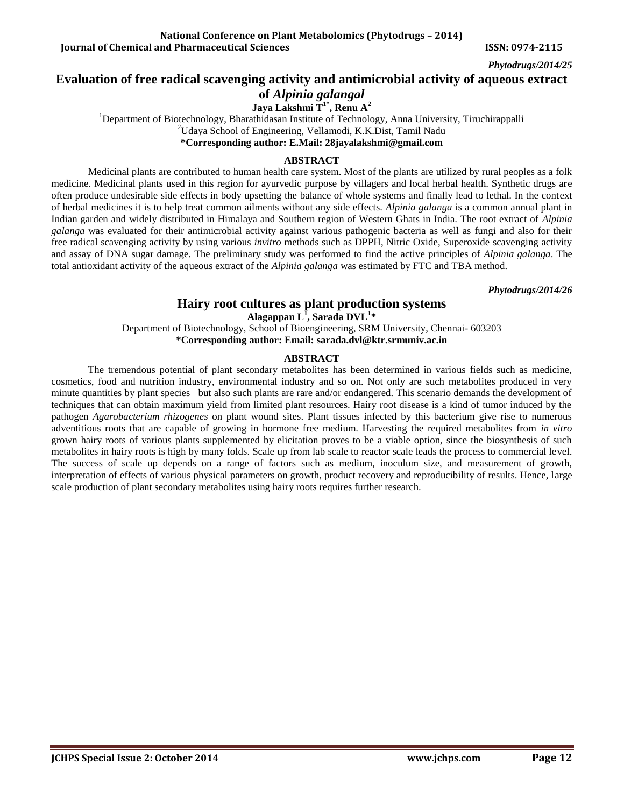# **Evaluation of free radical scavenging activity and antimicrobial activity of aqueous extract**

**of** *Alpinia galangal*

**Jaya Lakshmi T1\* , Renu A<sup>2</sup>** <sup>1</sup>Department of Biotechnology, Bharathidasan Institute of Technology, Anna University, Tiruchirappalli <sup>2</sup>Udaya School of Engineering, Vellamodi, K.K.Dist, Tamil Nadu **\*Corresponding author: E.Mail: [28jayalakshmi@gmail.com](mailto:28jayalakshmi@gmail.com)**

#### **ABSTRACT**

Medicinal plants are contributed to human health care system. Most of the plants are utilized by rural peoples as a folk medicine. Medicinal plants used in this region for ayurvedic purpose by villagers and local herbal health. Synthetic drugs are often produce undesirable side effects in body upsetting the balance of whole systems and finally lead to lethal. In the context of herbal medicines it is to help treat common ailments without any side effects. *Alpinia galanga* is a common annual plant in Indian garden and widely distributed in Himalaya and Southern region of Western Ghats in India. The root extract of *Alpinia galanga* was evaluated for their antimicrobial activity against various pathogenic bacteria as well as fungi and also for their free radical scavenging activity by using various *invitro* methods such as DPPH, Nitric Oxide, Superoxide scavenging activity and assay of DNA sugar damage. The preliminary study was performed to find the active principles of *Alpinia galanga*. The total antioxidant activity of the aqueous extract of the *Alpinia galanga* was estimated by FTC and TBA method.

*Phytodrugs/2014/26*

# **Hairy root cultures as plant production systems**

**Alagappan L<sup>1</sup> , Sarada DVL<sup>1</sup> \***

Department of Biotechnology, School of Bioengineering, SRM University, Chennai- 603203 **\*Corresponding author: Email: [sarada.dvl@ktr.srmuniv.ac.in](mailto:sarada.dvl@ktr.srmuniv.ac.in)**

#### **ABSTRACT**

The tremendous potential of plant secondary metabolites has been determined in various fields such as medicine, cosmetics, food and nutrition industry, environmental industry and so on. Not only are such metabolites produced in very minute quantities by plant species but also such plants are rare and/or endangered. This scenario demands the development of techniques that can obtain maximum yield from limited plant resources. Hairy root disease is a kind of tumor induced by the pathogen *Agarobacterium rhizogenes* on plant wound sites. Plant tissues infected by this bacterium give rise to numerous adventitious roots that are capable of growing in hormone free medium. Harvesting the required metabolites from *in vitro* grown hairy roots of various plants supplemented by elicitation proves to be a viable option, since the biosynthesis of such metabolites in hairy roots is high by many folds. Scale up from lab scale to reactor scale leads the process to commercial level. The success of scale up depends on a range of factors such as medium, inoculum size, and measurement of growth, interpretation of effects of various physical parameters on growth, product recovery and reproducibility of results. Hence, large scale production of plant secondary metabolites using hairy roots requires further research.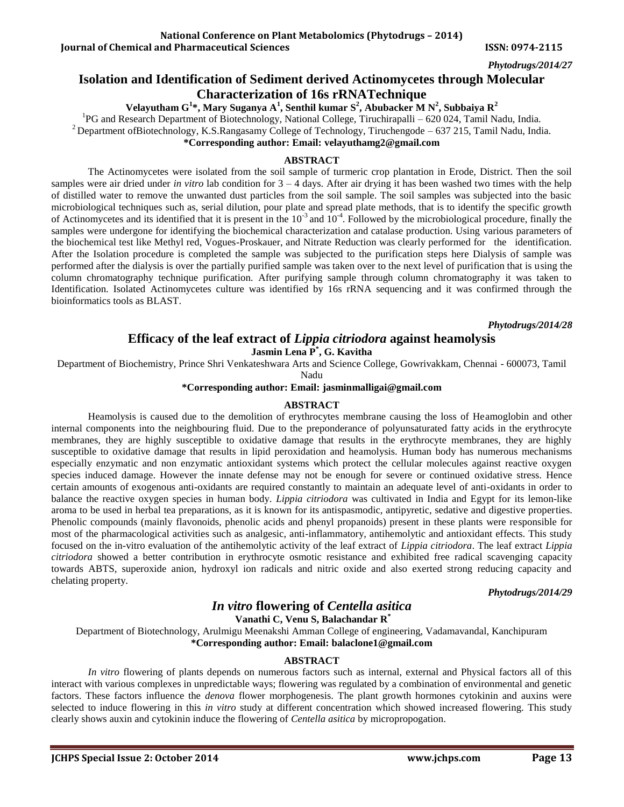**Iournal of Chemical and Pharmaceutical Sciences ISSN: 0974-2115** 

*Phytodrugs/2014/27*

# **Isolation and Identification of Sediment derived Actinomycetes through Molecular Characterization of 16s rRNATechnique**

**Velayutham G<sup>1</sup> \*, Mary Suganya A<sup>1</sup> , Senthil kumar S<sup>2</sup> , Abubacker M N<sup>2</sup> , Subbaiya R<sup>2</sup>**

<sup>1</sup>PG and Research Department of Biotechnology, National College, Tiruchirapalli – 620 024, Tamil Nadu, India.

<sup>2</sup> Department ofBiotechnology, K.S.Rangasamy College of Technology, Tiruchengode – 637 215, Tamil Nadu, India.

**\*Corresponding author: Email: [velayuthamg2@gmail.com](mailto:velayuthamg2@gmail.com)**

### **ABSTRACT**

The Actinomycetes were isolated from the soil sample of turmeric crop plantation in Erode, District. Then the soil samples were air dried under *in vitro* lab condition for 3 – 4 days. After air drying it has been washed two times with the help of distilled water to remove the unwanted dust particles from the soil sample. The soil samples was subjected into the basic microbiological techniques such as, serial dilution, pour plate and spread plate methods, that is to identify the specific growth of Actinomycetes and its identified that it is present in the  $10^{-3}$  and  $10^{-4}$ . Followed by the microbiological procedure, finally the samples were undergone for identifying the biochemical characterization and catalase production. Using various parameters of the biochemical test like Methyl red, Vogues-Proskauer, and Nitrate Reduction was clearly performed for the identification. After the Isolation procedure is completed the sample was subjected to the purification steps here Dialysis of sample was performed after the dialysis is over the partially purified sample was taken over to the next level of purification that is using the column chromatography technique purification. After purifying sample through column chromatography it was taken to Identification. Isolated Actinomycetes culture was identified by 16s rRNA sequencing and it was confirmed through the bioinformatics tools as BLAST.

*Phytodrugs/2014/28*

# **Efficacy of the leaf extract of** *Lippia citriodora* **against heamolysis**

**Jasmin Lena P\* , G. Kavitha**

Department of Biochemistry, Prince Shri Venkateshwara Arts and Science College, Gowrivakkam, Chennai - 600073, Tamil

Nadu

#### **\*Corresponding author: Email: [jasminmalligai@gmail.com](mailto:jasminmalligai@gmail.com)**

### **ABSTRACT**

Heamolysis is caused due to the demolition of erythrocytes membrane causing the loss of Heamoglobin and other internal components into the neighbouring fluid. Due to the preponderance of polyunsaturated fatty acids in the erythrocyte membranes, they are highly susceptible to oxidative damage that results in the erythrocyte membranes, they are highly susceptible to oxidative damage that results in lipid peroxidation and heamolysis. Human body has numerous mechanisms especially enzymatic and non enzymatic antioxidant systems which protect the cellular molecules against reactive oxygen species induced damage. However the innate defense may not be enough for severe or continued oxidative stress. Hence certain amounts of exogenous anti-oxidants are required constantly to maintain an adequate level of anti-oxidants in order to balance the reactive oxygen species in human body. *Lippia citriodora* was cultivated in India and Egypt for its lemon-like aroma to be used in herbal tea preparations, as it is known for its antispasmodic, antipyretic, sedative and digestive properties. Phenolic compounds (mainly flavonoids, phenolic acids and phenyl propanoids) present in these plants were responsible for most of the pharmacological activities such as analgesic, anti-inflammatory, antihemolytic and antioxidant effects. This study focused on the in-vitro evaluation of the antihemolytic activity of the leaf extract of *Lippia citriodora*. The leaf extract *Lippia citriodora* showed a better contribution in erythrocyte osmotic resistance and exhibited free radical scavenging capacity towards ABTS, superoxide anion, hydroxyl ion radicals and nitric oxide and also exerted strong reducing capacity and chelating property.

*Phytodrugs/2014/29*

# *In vitro* **flowering of** *Centella asitica*

### **Vanathi C, Venu S, Balachandar R \***

Department of Biotechnology, Arulmigu Meenakshi Amman College of engineering, Vadamavandal, Kanchipuram **\*Corresponding author: Email: [balaclone1@gmail.com](mailto:balaclone1@gmail.com)**

### **ABSTRACT**

*In vitro* flowering of plants depends on numerous factors such as internal, external and Physical factors all of this interact with various complexes in unpredictable ways; flowering was regulated by a combination of environmental and genetic factors. These factors influence the *denova* flower morphogenesis. The plant growth hormones cytokinin and auxins were selected to induce flowering in this *in vitro* study at different concentration which showed increased flowering. This study clearly shows auxin and cytokinin induce the flowering of *Centella asitica* by micropropogation.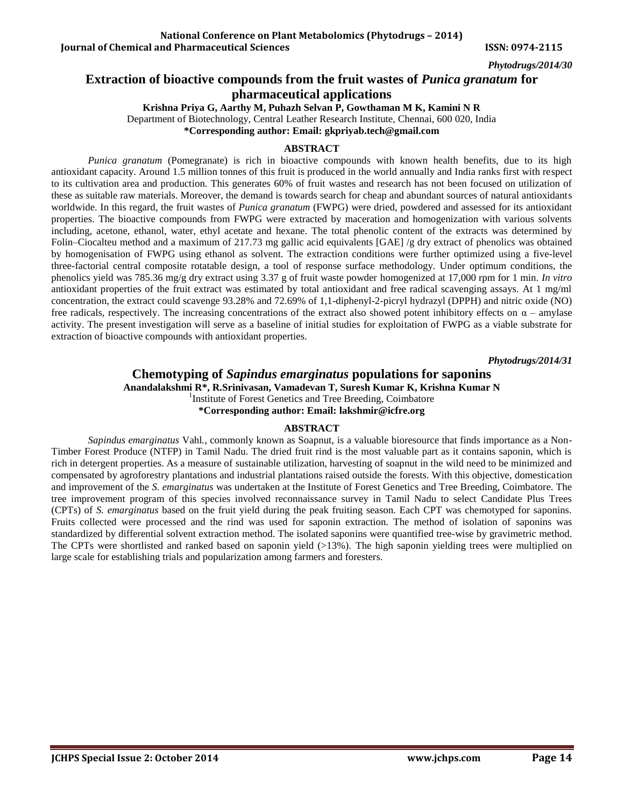# **Extraction of bioactive compounds from the fruit wastes of** *Punica granatum* **for pharmaceutical applications**

**Krishna Priya G, Aarthy M, Puhazh Selvan P, Gowthaman M K, Kamini N R**

Department of Biotechnology, Central Leather Research Institute, Chennai, 600 020, India

**\*Corresponding author: Email: [gkpriyab.tech@gmail.com](mailto:gkpriyab.tech@gmail.com)**

#### **ABSTRACT**

*Punica granatum* (Pomegranate) is rich in bioactive compounds with known health benefits, due to its high antioxidant capacity. Around 1.5 million tonnes of this fruit is produced in the world annually and India ranks first with respect to its cultivation area and production. This generates 60% of fruit wastes and research has not been focused on utilization of these as suitable raw materials. Moreover, the demand is towards search for cheap and abundant sources of natural antioxidants worldwide. In this regard, the fruit wastes of *Punica granatum* (FWPG) were dried, powdered and assessed for its antioxidant properties. The bioactive compounds from FWPG were extracted by maceration and homogenization with various solvents including, acetone, ethanol, water, ethyl acetate and hexane. The total phenolic content of the extracts was determined by Folin–Ciocalteu method and a maximum of 217.73 mg gallic acid equivalents [GAE] /g dry extract of phenolics was obtained by homogenisation of FWPG using ethanol as solvent. The extraction conditions were further optimized using a five-level three-factorial central composite rotatable design, a tool of response surface methodology. Under optimum conditions, the phenolics yield was 785.36 mg/g dry extract using 3.37 g of fruit waste powder homogenized at 17,000 rpm for 1 min. *In vitro*  antioxidant properties of the fruit extract was estimated by total antioxidant and free radical scavenging assays. At 1 mg/ml concentration, the extract could scavenge 93.28% and 72.69% of 1,1-diphenyl-2-picryl hydrazyl (DPPH) and nitric oxide (NO) free radicals, respectively. The increasing concentrations of the extract also showed potent inhibitory effects on  $\alpha$  – amylase activity. The present investigation will serve as a baseline of initial studies for exploitation of FWPG as a viable substrate for extraction of bioactive compounds with antioxidant properties.

*Phytodrugs/2014/31*

### **Chemotyping of** *Sapindus emarginatus* **populations for saponins Anandalakshmi R\*, R.Srinivasan, Vamadevan T, Suresh Kumar K, Krishna Kumar N** <sup>1</sup>Institute of Forest Genetics and Tree Breeding, Coimbatore **\*Corresponding author: Email: [lakshmir@icfre.org](mailto:lakshmir@icfre.org)**

### **ABSTRACT**

*Sapindus emarginatus* Vahl*.*, commonly known as Soapnut, is a valuable bioresource that finds importance as a Non-Timber Forest Produce (NTFP) in Tamil Nadu. The dried fruit rind is the most valuable part as it contains saponin, which is rich in detergent properties. As a measure of sustainable utilization, harvesting of soapnut in the wild need to be minimized and compensated by agroforestry plantations and industrial plantations raised outside the forests. With this objective, domestication and improvement of the *S. emarginatus* was undertaken at the Institute of Forest Genetics and Tree Breeding, Coimbatore. The tree improvement program of this species involved reconnaissance survey in Tamil Nadu to select Candidate Plus Trees (CPTs) of *S. emarginatus* based on the fruit yield during the peak fruiting season. Each CPT was chemotyped for saponins. Fruits collected were processed and the rind was used for saponin extraction. The method of isolation of saponins was standardized by differential solvent extraction method. The isolated saponins were quantified tree-wise by gravimetric method. The CPTs were shortlisted and ranked based on saponin yield  $(>13%)$ . The high saponin yielding trees were multiplied on large scale for establishing trials and popularization among farmers and foresters.